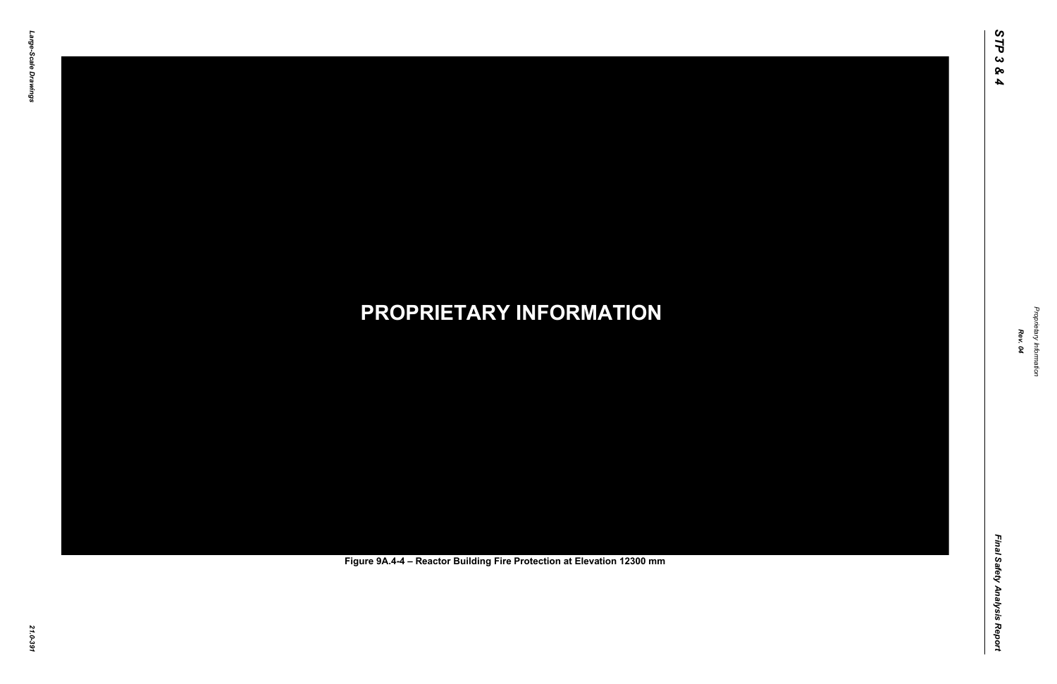Final Safety Analysis Report *Final Safety Analysis Report*



Proprietary Information *Proprietary Information*

# *21.0-391* **PROPRIETARY INFORMATION Figure 9A.4-4 – Reactor Building Fire Protection at Elevation 12300 mm**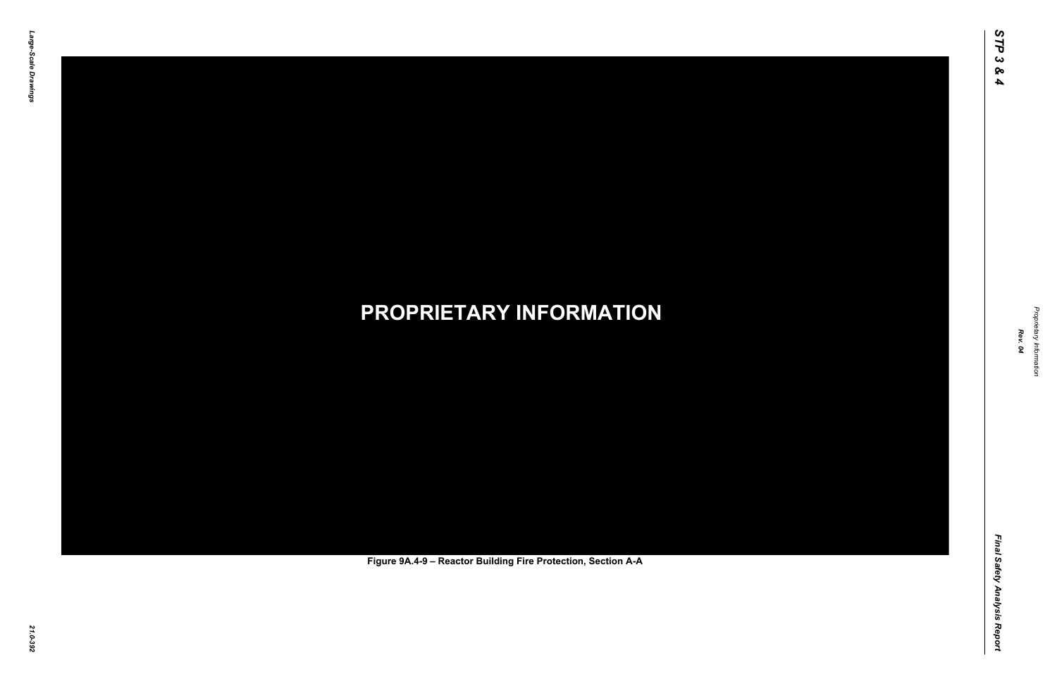Final Safety Analysis Report *Final Safety Analysis Report*



Proprietary Information *Proprietary Information*

# *21.0-392* **PROPRIETARY INFORMATION Figure 9A.4-9 – Reactor Building Fire Protection, Section A-A**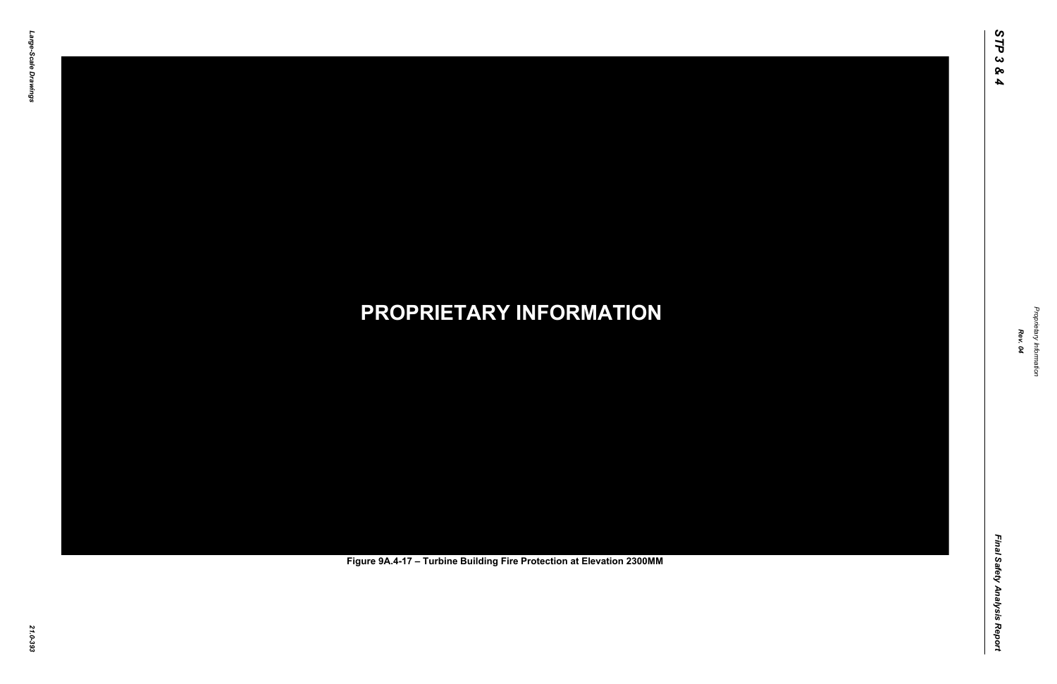Final Safety Analysis Report *Final Safety Analysis Report*



Proprietary Information *Proprietary Information*

# *21.0-393* **PROPRIETARY INFORMATION Figure 9A.4-17 – Turbine Building Fire Protection at Elevation 2300MM**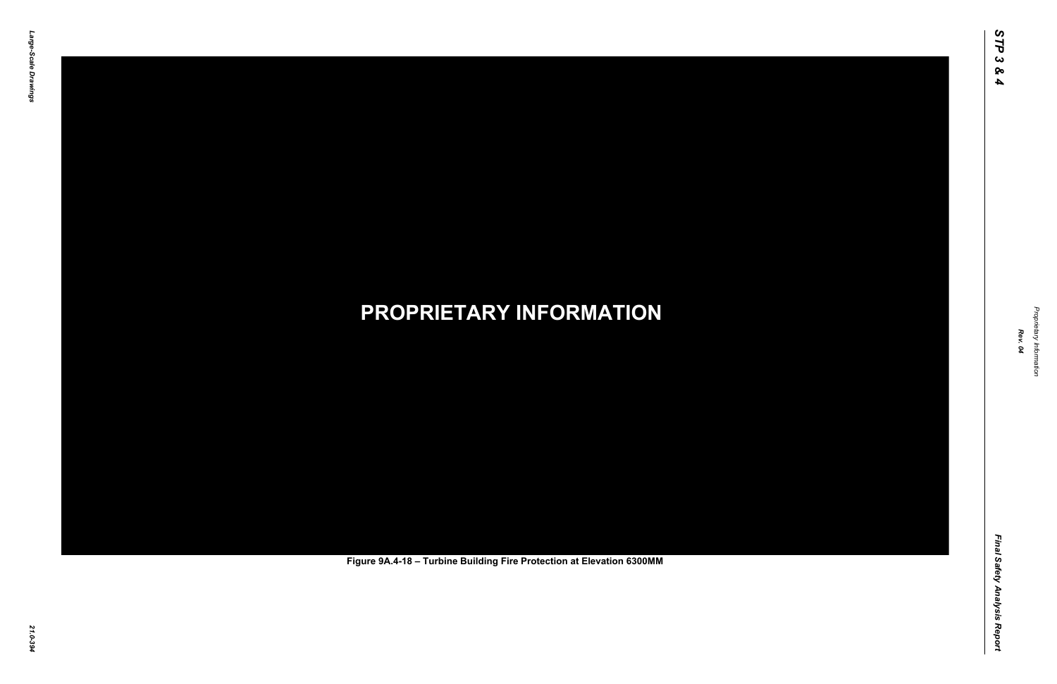Final Safety Analysis Report *Final Safety Analysis Report*



Proprietary Information *Proprietary Information*

# *21.0-394* **PROPRIETARY INFORMATION Figure 9A.4-18 – Turbine Building Fire Protection at Elevation 6300MM**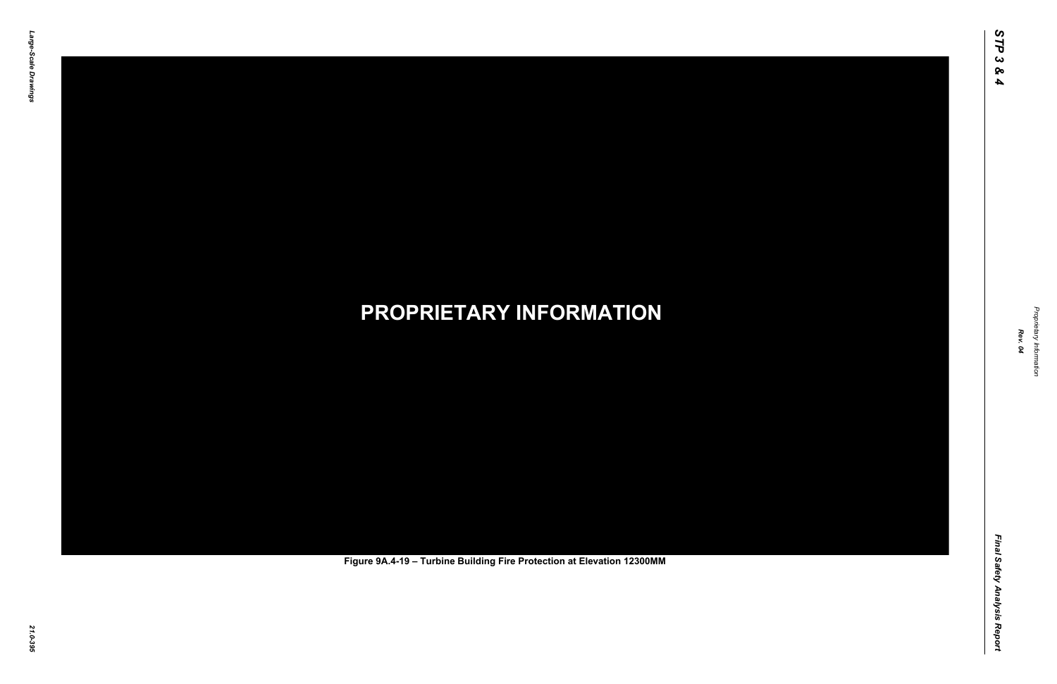Final Safety Analysis Report *Final Safety Analysis Report*



Proprietary Information *Proprietary Information*

# *21.0-395* **PROPRIETARY INFORMATION Figure 9A.4-19 – Turbine Building Fire Protection at Elevation 12300MM**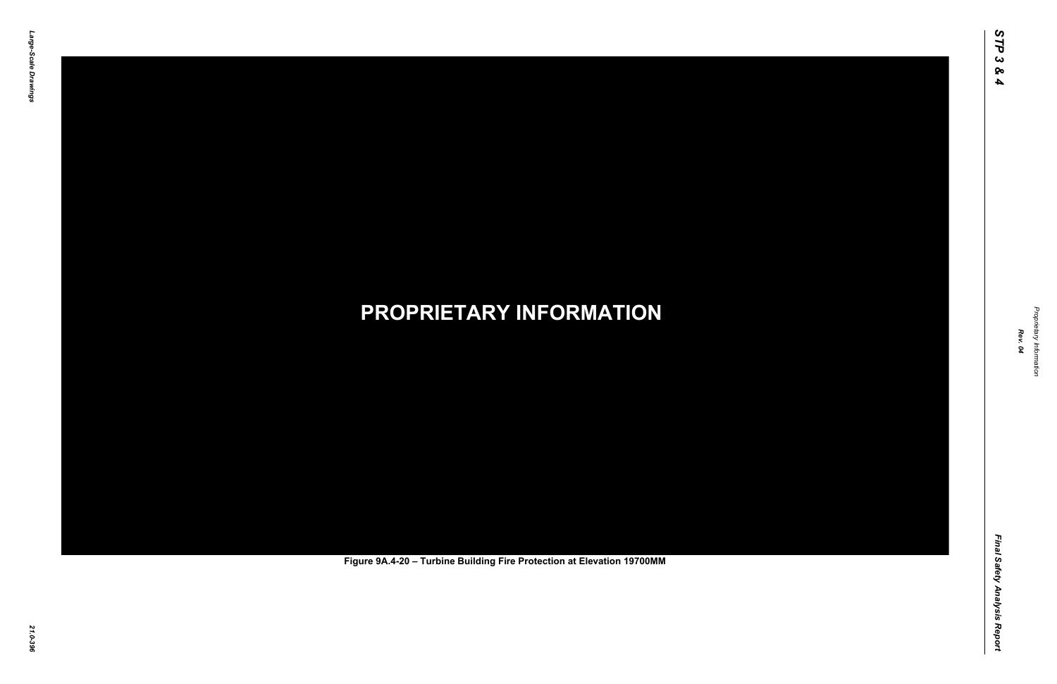Final Safety Analysis Report *Final Safety Analysis Report*



Proprietary Information *Proprietary Information*

# *21.0-396* **PROPRIETARY INFORMATION Figure 9A.4-20 – Turbine Building Fire Protection at Elevation 19700MM**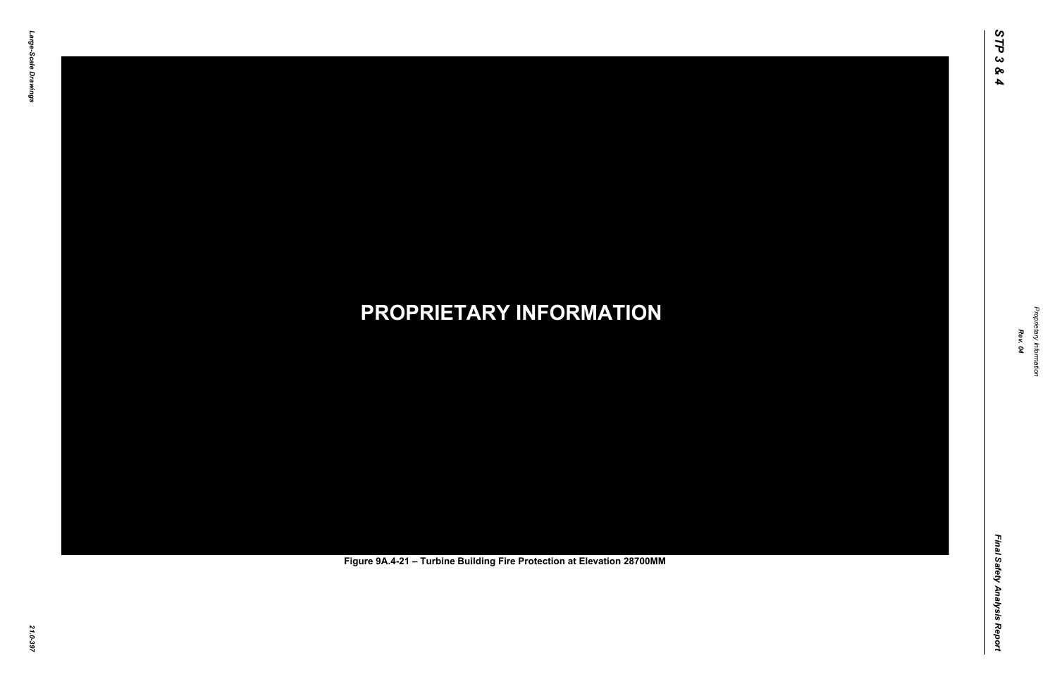Final Safety Analysis Report *Final Safety Analysis Report*



Proprietary Information *Proprietary Information*

# *21.0-397* **PROPRIETARY INFORMATION Figure 9A.4-21 – Turbine Building Fire Protection at Elevation 28700MM**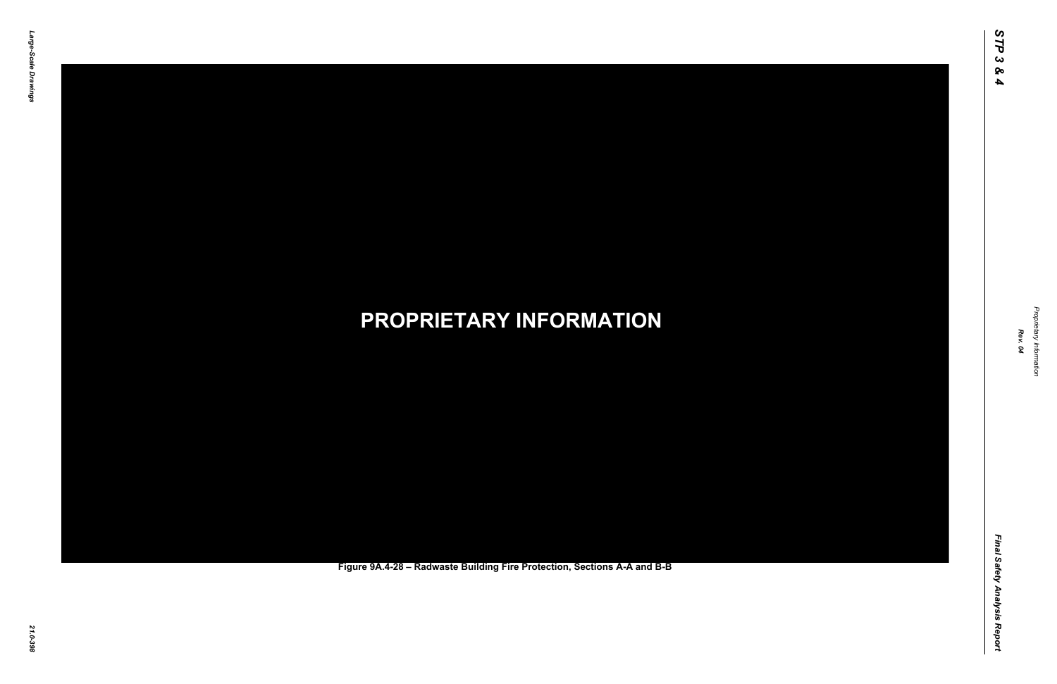Final Safety Analysis Report *Final Safety Analysis Report*



Proprietary Information *Proprietary Information*

### *21.0-398* **PROPRIETARY INFORMATION Figure 9A.4-28 – Radwaste Building Fire Protection, Sections A-A and B-B**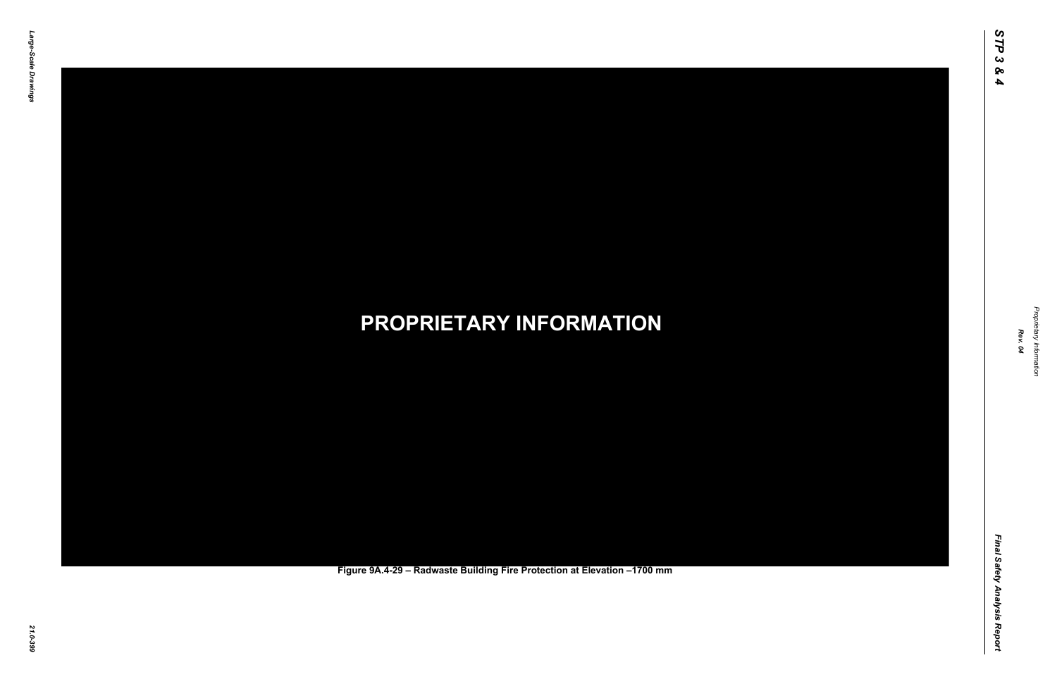Final Safety Analysis Report *Final Safety Analysis Report*



Proprietary Information *Proprietary Information*

### *21.0-399* **PROPRIETARY INFORMATION Figure 9A.4-29 – Radwaste Building Fire Protection at Elevation –1700 mm**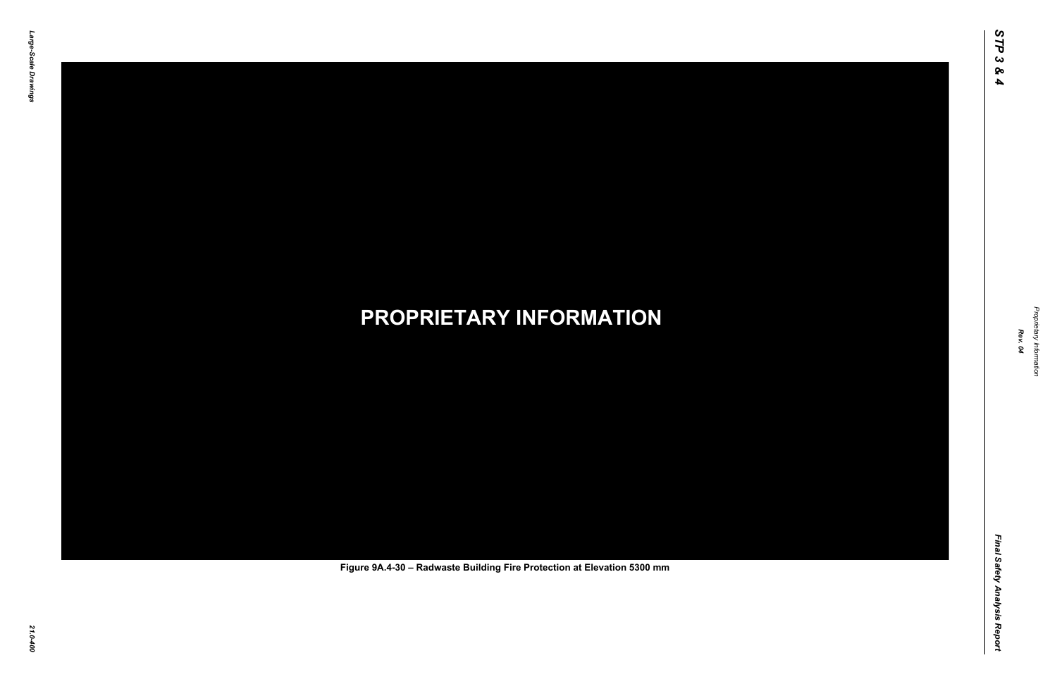Final Safety Analysis Report *Final Safety Analysis Report*



Proprietary Information *Proprietary Information*

### *21.0-400* **PROPRIETARY INFORMATION Figure 9A.4-30 – Radwaste Building Fire Protection at Elevation 5300 mm**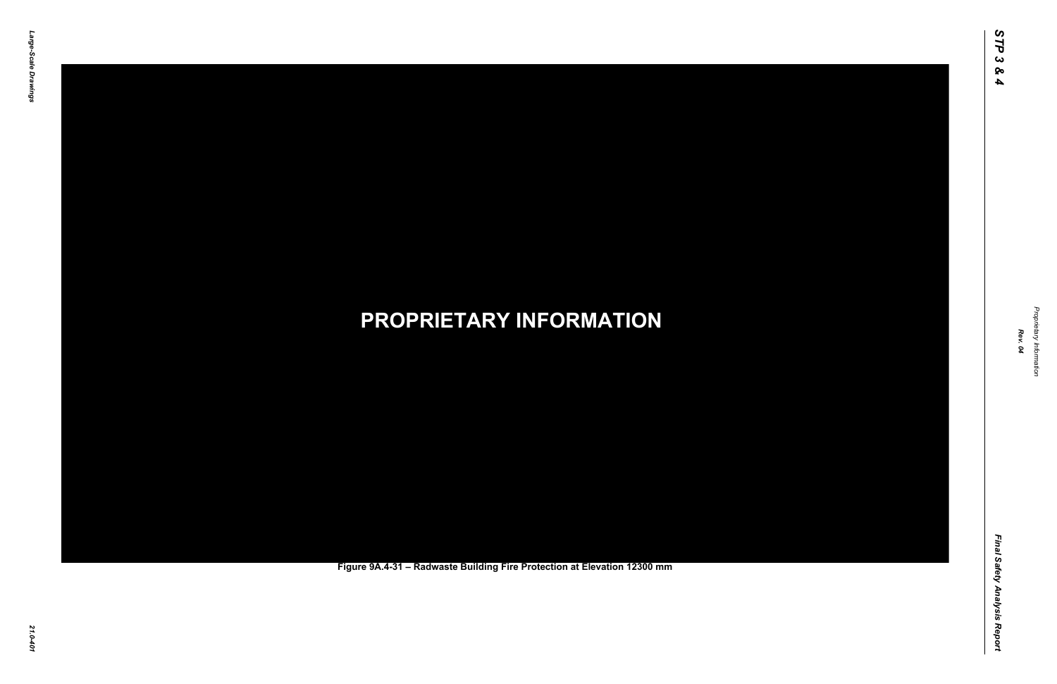Final Safety Analysis Report *Final Safety Analysis Report*



Proprietary Information *Proprietary Information*

### *21.0-401* **PROPRIETARY INFORMATION Figure 9A.4-31 – Radwaste Building Fire Protection at Elevation 12300 mm**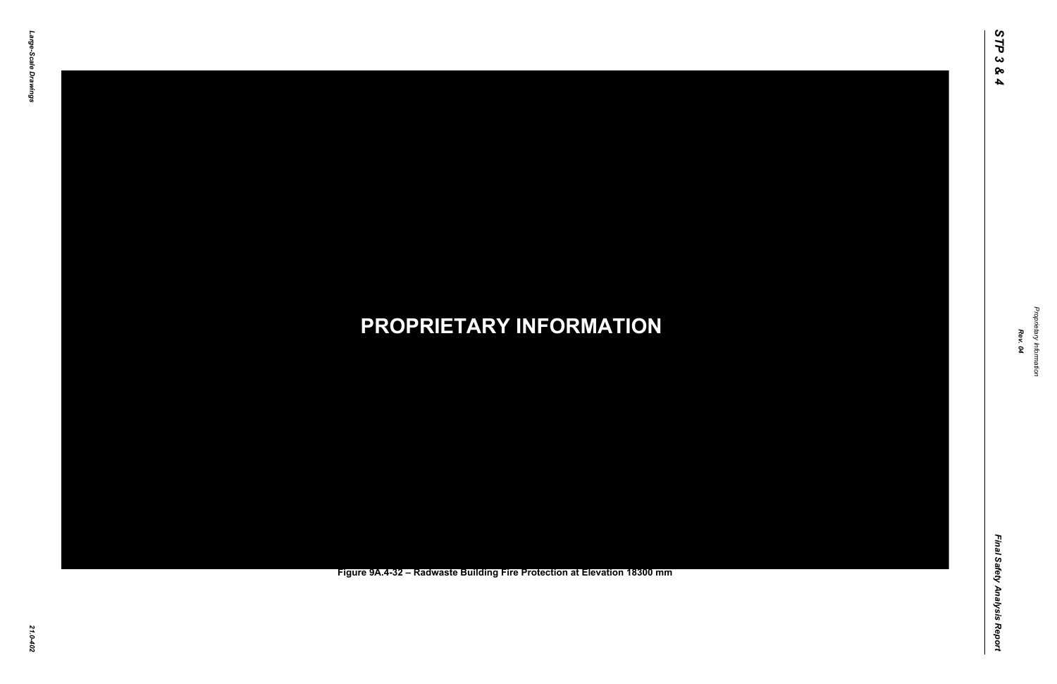Final Safety Analysis Report *Final Safety Analysis Report*



Proprietary Information *Proprietary Information*

#### *21.0-402* **PROPRIETARY INFORMATION Figure 9A.4-32 – Radwaste Building Fire Protection at Elevation 18300 mm**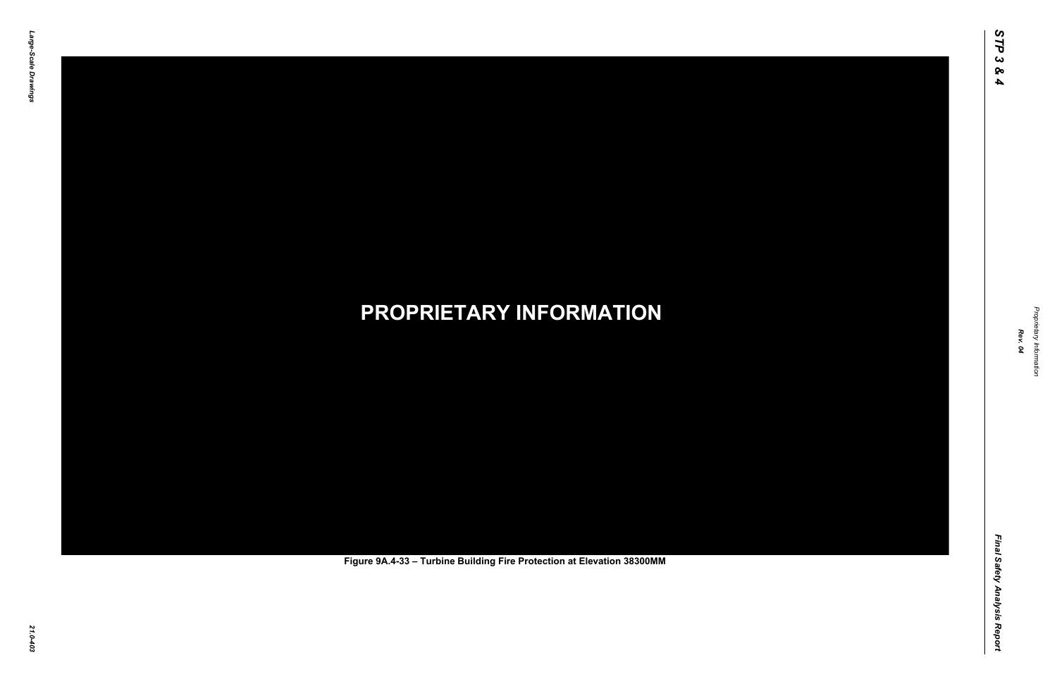Final Safety Analysis Report *Final Safety Analysis Report*



Proprietary Information *Proprietary Information*

# *21.0-403* **PROPRIETARY INFORMATION Figure 9A.4-33 – Turbine Building Fire Protection at Elevation 38300MM**